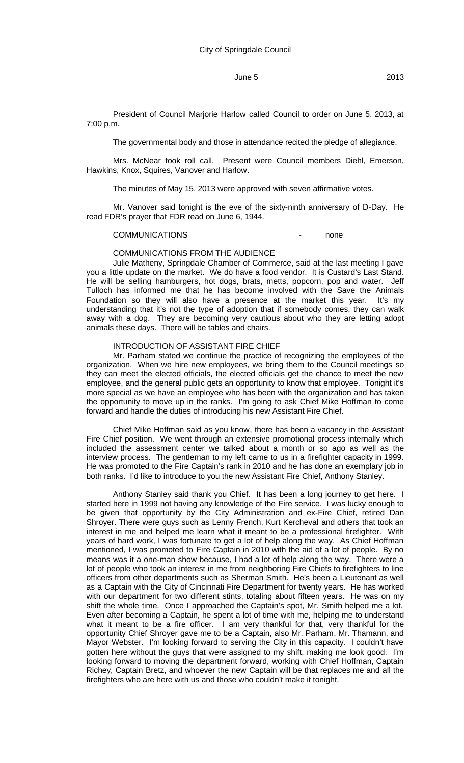President of Council Marjorie Harlow called Council to order on June 5, 2013, at 7:00 p.m.

The governmental body and those in attendance recited the pledge of allegiance.

Mrs. McNear took roll call. Present were Council members Diehl, Emerson, Hawkins, Knox, Squires, Vanover and Harlow.

The minutes of May 15, 2013 were approved with seven affirmative votes.

Mr. Vanover said tonight is the eve of the sixty-ninth anniversary of D-Day. He read FDR's prayer that FDR read on June 6, 1944.

#### COMMUNICATIONS - none

#### COMMUNICATIONS FROM THE AUDIENCE

Julie Matheny, Springdale Chamber of Commerce, said at the last meeting I gave you a little update on the market. We do have a food vendor. It is Custard's Last Stand. He will be selling hamburgers, hot dogs, brats, metts, popcorn, pop and water. Jeff Tulloch has informed me that he has become involved with the Save the Animals Foundation so they will also have a presence at the market this year. It's my understanding that it's not the type of adoption that if somebody comes, they can walk away with a dog. They are becoming very cautious about who they are letting adopt animals these days. There will be tables and chairs.

### INTRODUCTION OF ASSISTANT FIRE CHIEF

Mr. Parham stated we continue the practice of recognizing the employees of the organization. When we hire new employees, we bring them to the Council meetings so they can meet the elected officials, the elected officials get the chance to meet the new employee, and the general public gets an opportunity to know that employee. Tonight it's more special as we have an employee who has been with the organization and has taken the opportunity to move up in the ranks. I'm going to ask Chief Mike Hoffman to come forward and handle the duties of introducing his new Assistant Fire Chief.

Chief Mike Hoffman said as you know, there has been a vacancy in the Assistant Fire Chief position. We went through an extensive promotional process internally which included the assessment center we talked about a month or so ago as well as the interview process. The gentleman to my left came to us in a firefighter capacity in 1999. He was promoted to the Fire Captain's rank in 2010 and he has done an exemplary job in both ranks. I'd like to introduce to you the new Assistant Fire Chief, Anthony Stanley.

Anthony Stanley said thank you Chief. It has been a long journey to get here. I started here in 1999 not having any knowledge of the Fire service. I was lucky enough to be given that opportunity by the City Administration and ex-Fire Chief, retired Dan Shroyer. There were guys such as Lenny French, Kurt Kercheval and others that took an interest in me and helped me learn what it meant to be a professional firefighter. With years of hard work, I was fortunate to get a lot of help along the way. As Chief Hoffman mentioned, I was promoted to Fire Captain in 2010 with the aid of a lot of people. By no means was it a one-man show because, I had a lot of help along the way. There were a lot of people who took an interest in me from neighboring Fire Chiefs to firefighters to line officers from other departments such as Sherman Smith. He's been a Lieutenant as well as a Captain with the City of Cincinnati Fire Department for twenty years. He has worked with our department for two different stints, totaling about fifteen years. He was on my shift the whole time. Once I approached the Captain's spot, Mr. Smith helped me a lot. Even after becoming a Captain, he spent a lot of time with me, helping me to understand what it meant to be a fire officer. I am very thankful for that, very thankful for the opportunity Chief Shroyer gave me to be a Captain, also Mr. Parham, Mr. Thamann, and Mayor Webster. I'm looking forward to serving the City in this capacity. I couldn't have gotten here without the guys that were assigned to my shift, making me look good. I'm looking forward to moving the department forward, working with Chief Hoffman, Captain Richey, Captain Bretz, and whoever the new Captain will be that replaces me and all the firefighters who are here with us and those who couldn't make it tonight.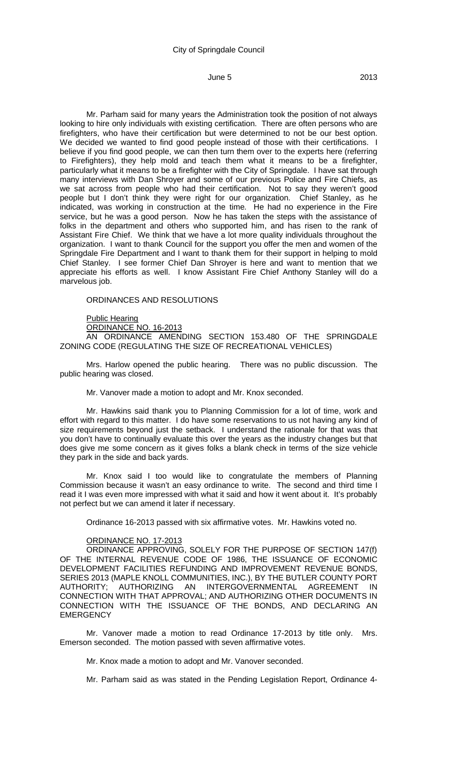Mr. Parham said for many years the Administration took the position of not always looking to hire only individuals with existing certification. There are often persons who are firefighters, who have their certification but were determined to not be our best option. We decided we wanted to find good people instead of those with their certifications. I believe if you find good people, we can then turn them over to the experts here (referring to Firefighters), they help mold and teach them what it means to be a firefighter, particularly what it means to be a firefighter with the City of Springdale. I have sat through many interviews with Dan Shroyer and some of our previous Police and Fire Chiefs, as we sat across from people who had their certification. Not to say they weren't good people but I don't think they were right for our organization. Chief Stanley, as he indicated, was working in construction at the time. He had no experience in the Fire service, but he was a good person. Now he has taken the steps with the assistance of folks in the department and others who supported him, and has risen to the rank of Assistant Fire Chief. We think that we have a lot more quality individuals throughout the organization. I want to thank Council for the support you offer the men and women of the Springdale Fire Department and I want to thank them for their support in helping to mold Chief Stanley. I see former Chief Dan Shroyer is here and want to mention that we appreciate his efforts as well. I know Assistant Fire Chief Anthony Stanley will do a marvelous job.

### ORDINANCES AND RESOLUTIONS

Public Hearing

ORDINANCE NO. 16-2013

AN ORDINANCE AMENDING SECTION 153.480 OF THE SPRINGDALE ZONING CODE (REGULATING THE SIZE OF RECREATIONAL VEHICLES)

Mrs. Harlow opened the public hearing. There was no public discussion. The public hearing was closed.

Mr. Vanover made a motion to adopt and Mr. Knox seconded.

Mr. Hawkins said thank you to Planning Commission for a lot of time, work and effort with regard to this matter. I do have some reservations to us not having any kind of size requirements beyond just the setback. I understand the rationale for that was that you don't have to continually evaluate this over the years as the industry changes but that does give me some concern as it gives folks a blank check in terms of the size vehicle they park in the side and back yards.

Mr. Knox said I too would like to congratulate the members of Planning Commission because it wasn't an easy ordinance to write. The second and third time I read it I was even more impressed with what it said and how it went about it. It's probably not perfect but we can amend it later if necessary.

Ordinance 16-2013 passed with six affirmative votes. Mr. Hawkins voted no.

#### ORDINANCE NO. 17-2013

ORDINANCE APPROVING, SOLELY FOR THE PURPOSE OF SECTION 147(f) OF THE INTERNAL REVENUE CODE OF 1986, THE ISSUANCE OF ECONOMIC DEVELOPMENT FACILITIES REFUNDING AND IMPROVEMENT REVENUE BONDS, SERIES 2013 (MAPLE KNOLL COMMUNITIES, INC.), BY THE BUTLER COUNTY PORT AUTHORITY; AUTHORIZING AN INTERGOVERNMENTAL AGREEMENT IN CONNECTION WITH THAT APPROVAL; AND AUTHORIZING OTHER DOCUMENTS IN CONNECTION WITH THE ISSUANCE OF THE BONDS, AND DECLARING AN **EMERGENCY** 

Mr. Vanover made a motion to read Ordinance 17-2013 by title only. Mrs. Emerson seconded. The motion passed with seven affirmative votes.

Mr. Knox made a motion to adopt and Mr. Vanover seconded.

Mr. Parham said as was stated in the Pending Legislation Report, Ordinance 4-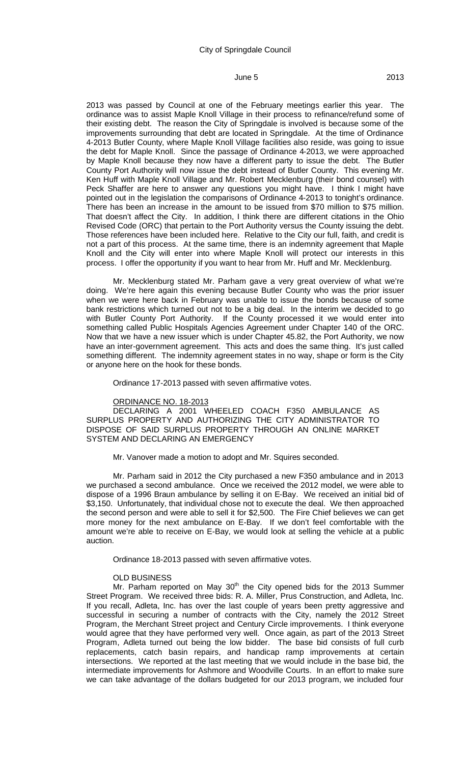2013 was passed by Council at one of the February meetings earlier this year. The ordinance was to assist Maple Knoll Village in their process to refinance/refund some of their existing debt. The reason the City of Springdale is involved is because some of the improvements surrounding that debt are located in Springdale. At the time of Ordinance 4-2013 Butler County, where Maple Knoll Village facilities also reside, was going to issue the debt for Maple Knoll. Since the passage of Ordinance 4-2013, we were approached by Maple Knoll because they now have a different party to issue the debt. The Butler County Port Authority will now issue the debt instead of Butler County. This evening Mr. Ken Huff with Maple Knoll Village and Mr. Robert Mecklenburg (their bond counsel) with Peck Shaffer are here to answer any questions you might have. I think I might have pointed out in the legislation the comparisons of Ordinance 4-2013 to tonight's ordinance. There has been an increase in the amount to be issued from \$70 million to \$75 million. That doesn't affect the City. In addition, I think there are different citations in the Ohio Revised Code (ORC) that pertain to the Port Authority versus the County issuing the debt. Those references have been included here. Relative to the City our full, faith, and credit is not a part of this process. At the same time, there is an indemnity agreement that Maple Knoll and the City will enter into where Maple Knoll will protect our interests in this process. I offer the opportunity if you want to hear from Mr. Huff and Mr. Mecklenburg.

Mr. Mecklenburg stated Mr. Parham gave a very great overview of what we're doing. We're here again this evening because Butler County who was the prior issuer when we were here back in February was unable to issue the bonds because of some bank restrictions which turned out not to be a big deal. In the interim we decided to go with Butler County Port Authority. If the County processed it we would enter into something called Public Hospitals Agencies Agreement under Chapter 140 of the ORC. Now that we have a new issuer which is under Chapter 45.82, the Port Authority, we now have an inter-government agreement. This acts and does the same thing. It's just called something different. The indemnity agreement states in no way, shape or form is the City or anyone here on the hook for these bonds.

Ordinance 17-2013 passed with seven affirmative votes.

#### ORDINANCE NO. 18-2013

DECLARING A 2001 WHEELED COACH F350 AMBULANCE AS SURPLUS PROPERTY AND AUTHORIZING THE CITY ADMINISTRATOR TO DISPOSE OF SAID SURPLUS PROPERTY THROUGH AN ONLINE MARKET SYSTEM AND DECLARING AN EMERGENCY

Mr. Vanover made a motion to adopt and Mr. Squires seconded.

Mr. Parham said in 2012 the City purchased a new F350 ambulance and in 2013 we purchased a second ambulance. Once we received the 2012 model, we were able to dispose of a 1996 Braun ambulance by selling it on E-Bay. We received an initial bid of \$3,150. Unfortunately, that individual chose not to execute the deal. We then approached the second person and were able to sell it for \$2,500. The Fire Chief believes we can get more money for the next ambulance on E-Bay. If we don't feel comfortable with the amount we're able to receive on E-Bay, we would look at selling the vehicle at a public auction.

Ordinance 18-2013 passed with seven affirmative votes.

#### OLD BUSINESS

Mr. Parham reported on May 30<sup>th</sup> the City opened bids for the 2013 Summer Street Program. We received three bids: R. A. Miller, Prus Construction, and Adleta, Inc. If you recall, Adleta, Inc. has over the last couple of years been pretty aggressive and successful in securing a number of contracts with the City, namely the 2012 Street Program, the Merchant Street project and Century Circle improvements. I think everyone would agree that they have performed very well. Once again, as part of the 2013 Street Program, Adleta turned out being the low bidder. The base bid consists of full curb replacements, catch basin repairs, and handicap ramp improvements at certain intersections. We reported at the last meeting that we would include in the base bid, the intermediate improvements for Ashmore and Woodville Courts. In an effort to make sure we can take advantage of the dollars budgeted for our 2013 program, we included four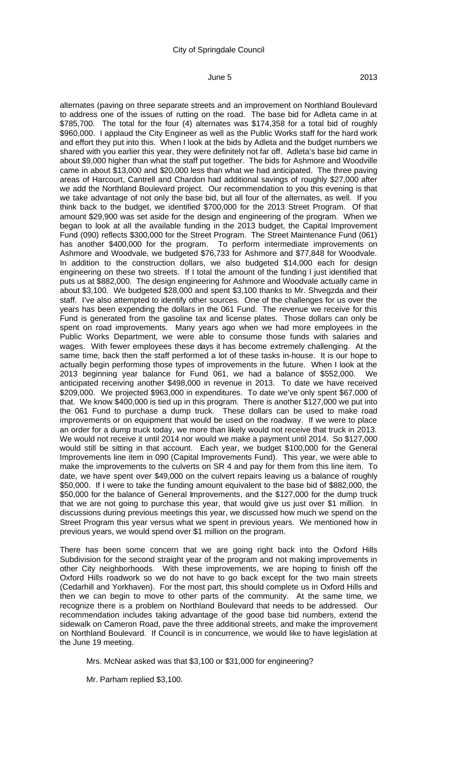alternates (paving on three separate streets and an improvement on Northland Boulevard to address one of the issues of rutting on the road. The base bid for Adleta came in at \$785,700. The total for the four (4) alternates was \$174,358 for a total bid of roughly \$960,000. I applaud the City Engineer as well as the Public Works staff for the hard work and effort they put into this. When I look at the bids by Adleta and the budget numbers we shared with you earlier this year, they were definitely not far off. Adleta's base bid came in about \$9,000 higher than what the staff put together. The bids for Ashmore and Woodville came in about \$13,000 and \$20,000 less than what we had anticipated. The three paving areas of Harcourt, Cantrell and Chardon had additional savings of roughly \$27,000 after we add the Northland Boulevard project. Our recommendation to you this evening is that we take advantage of not only the base bid, but all four of the alternates, as well. If you think back to the budget, we identified \$700,000 for the 2013 Street Program. Of that amount \$29,900 was set aside for the design and engineering of the program. When we began to look at all the available funding in the 2013 budget, the Capital Improvement Fund (090) reflects \$300,000 for the Street Program. The Street Maintenance Fund (061) has another \$400,000 for the program. To perform intermediate improvements on Ashmore and Woodvale, we budgeted \$76,733 for Ashmore and \$77,848 for Woodvale. In addition to the construction dollars, we also budgeted \$14,000 each for design engineering on these two streets. If I total the amount of the funding I just identified that puts us at \$882,000. The design engineering for Ashmore and Woodvale actually came in about \$3,100. We budgeted \$28,000 and spent \$3,100 thanks to Mr. Shvegzda and their staff. I've also attempted to identify other sources. One of the challenges for us over the years has been expending the dollars in the 061 Fund. The revenue we receive for this Fund is generated from the gasoline tax and license plates. Those dollars can only be spent on road improvements. Many years ago when we had more employees in the Public Works Department, we were able to consume those funds with salaries and wages. With fewer employees these days it has become extremely challenging. At the same time, back then the staff performed a lot of these tasks in-house. It is our hope to actually begin performing those types of improvements in the future. When I look at the 2013 beginning year balance for Fund 061, we had a balance of \$552,000. We anticipated receiving another \$498,000 in revenue in 2013. To date we have received \$209,000. We projected \$963,000 in expenditures. To date we've only spent \$67,000 of that. We know \$400,000 is tied up in this program. There is another \$127,000 we put into the 061 Fund to purchase a dump truck. These dollars can be used to make road improvements or on equipment that would be used on the roadway. If we were to place an order for a dump truck today, we more than likely would not receive that truck in 2013. We would not receive it until 2014 nor would we make a payment until 2014. So \$127,000 would still be sitting in that account. Each year, we budget \$100,000 for the General Improvements line item in 090 (Capital Improvements Fund). This year, we were able to make the improvements to the culverts on SR 4 and pay for them from this line item. To date, we have spent over \$49,000 on the culvert repairs leaving us a balance of roughly \$50,000. If I were to take the funding amount equivalent to the base bid of \$882,000, the \$50,000 for the balance of General Improvements, and the \$127,000 for the dump truck that we are not going to purchase this year, that would give us just over \$1 million. In discussions during previous meetings this year, we discussed how much we spend on the Street Program this year versus what we spent in previous years. We mentioned how in previous years, we would spend over \$1 million on the program.

There has been some concern that we are going right back into the Oxford Hills Subdivision for the second straight year of the program and not making improvements in other City neighborhoods. With these improvements, we are hoping to finish off the Oxford Hills roadwork so we do not have to go back except for the two main streets (Cedarhill and Yorkhaven). For the most part, this should complete us in Oxford Hills and then we can begin to move to other parts of the community. At the same time, we recognize there is a problem on Northland Boulevard that needs to be addressed. Our recommendation includes taking advantage of the good base bid numbers, extend the sidewalk on Cameron Road, pave the three additional streets, and make the improvement on Northland Boulevard. If Council is in concurrence, we would like to have legislation at the June 19 meeting.

Mrs. McNear asked was that \$3,100 or \$31,000 for engineering?

Mr. Parham replied \$3,100.